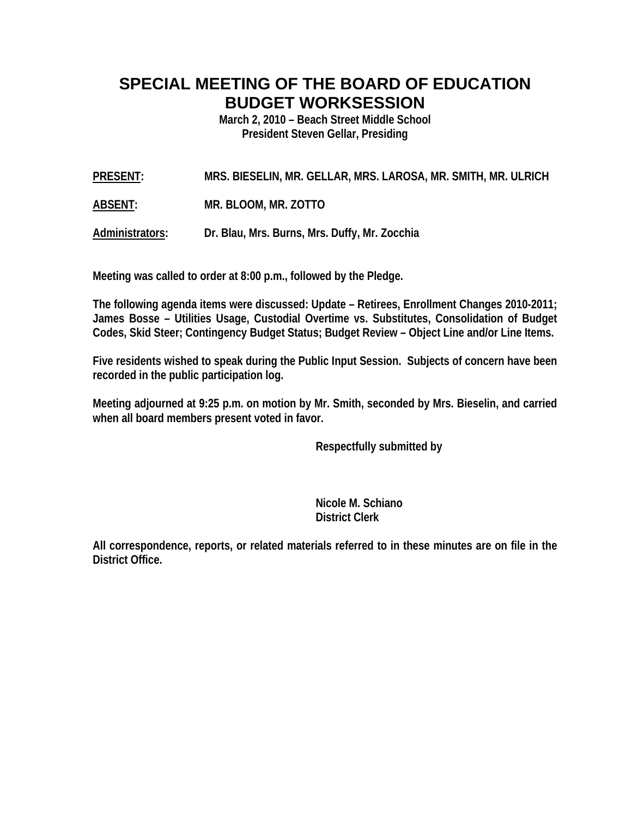## **SPECIAL MEETING OF THE BOARD OF EDUCATION BUDGET WORKSESSION**

**March 2, 2010 – Beach Street Middle School President Steven Gellar, Presiding** 

**PRESENT: MRS. BIESELIN, MR. GELLAR, MRS. LAROSA, MR. SMITH, MR. ULRICH** 

**ABSENT: MR. BLOOM, MR. ZOTTO** 

**Administrators: Dr. Blau, Mrs. Burns, Mrs. Duffy, Mr. Zocchia** 

**Meeting was called to order at 8:00 p.m., followed by the Pledge.** 

**The following agenda items were discussed: Update – Retirees, Enrollment Changes 2010-2011; James Bosse – Utilities Usage, Custodial Overtime vs. Substitutes, Consolidation of Budget Codes, Skid Steer; Contingency Budget Status; Budget Review – Object Line and/or Line Items.** 

**Five residents wished to speak during the Public Input Session. Subjects of concern have been recorded in the public participation log.** 

**Meeting adjourned at 9:25 p.m. on motion by Mr. Smith, seconded by Mrs. Bieselin, and carried when all board members present voted in favor.** 

 **Respectfully submitted by** 

 **Nicole M. Schiano District Clerk**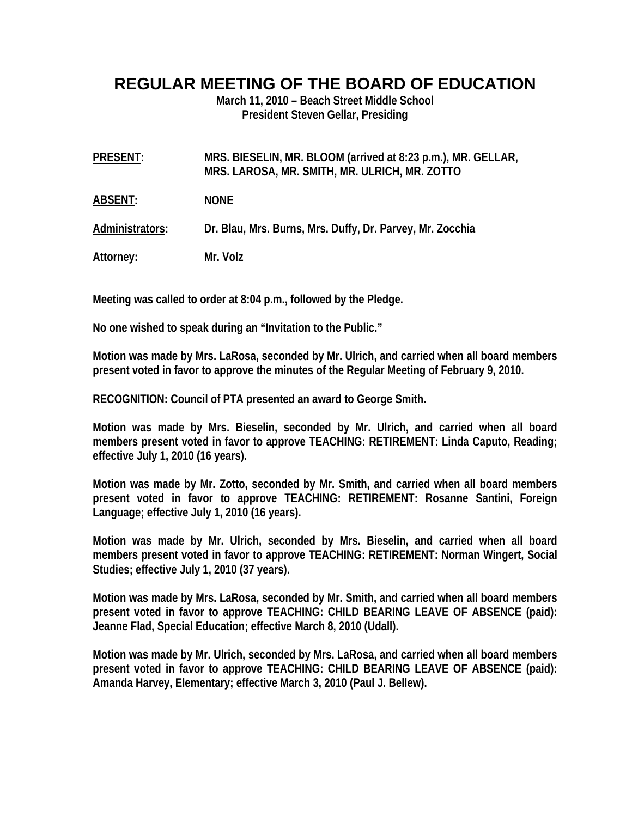## **REGULAR MEETING OF THE BOARD OF EDUCATION**

**March 11, 2010 – Beach Street Middle School President Steven Gellar, Presiding** 

| <b>PRESENT:</b> | MRS. BIESELIN, MR. BLOOM (arrived at 8:23 p.m.), MR. GELLAR,<br>MRS. LAROSA, MR. SMITH, MR. ULRICH, MR. ZOTTO |
|-----------------|---------------------------------------------------------------------------------------------------------------|
| <b>ABSENT:</b>  | <b>NONE</b>                                                                                                   |

**Administrators: Dr. Blau, Mrs. Burns, Mrs. Duffy, Dr. Parvey, Mr. Zocchia** 

**Attorney: Mr. Volz** 

**Meeting was called to order at 8:04 p.m., followed by the Pledge.** 

**No one wished to speak during an "Invitation to the Public."** 

**Motion was made by Mrs. LaRosa, seconded by Mr. Ulrich, and carried when all board members present voted in favor to approve the minutes of the Regular Meeting of February 9, 2010.** 

**RECOGNITION: Council of PTA presented an award to George Smith.** 

**Motion was made by Mrs. Bieselin, seconded by Mr. Ulrich, and carried when all board members present voted in favor to approve TEACHING: RETIREMENT: Linda Caputo, Reading; effective July 1, 2010 (16 years).** 

**Motion was made by Mr. Zotto, seconded by Mr. Smith, and carried when all board members present voted in favor to approve TEACHING: RETIREMENT: Rosanne Santini, Foreign Language; effective July 1, 2010 (16 years).** 

**Motion was made by Mr. Ulrich, seconded by Mrs. Bieselin, and carried when all board members present voted in favor to approve TEACHING: RETIREMENT: Norman Wingert, Social Studies; effective July 1, 2010 (37 years).** 

**Motion was made by Mrs. LaRosa, seconded by Mr. Smith, and carried when all board members present voted in favor to approve TEACHING: CHILD BEARING LEAVE OF ABSENCE (paid): Jeanne Flad, Special Education; effective March 8, 2010 (Udall).** 

**Motion was made by Mr. Ulrich, seconded by Mrs. LaRosa, and carried when all board members present voted in favor to approve TEACHING: CHILD BEARING LEAVE OF ABSENCE (paid): Amanda Harvey, Elementary; effective March 3, 2010 (Paul J. Bellew).**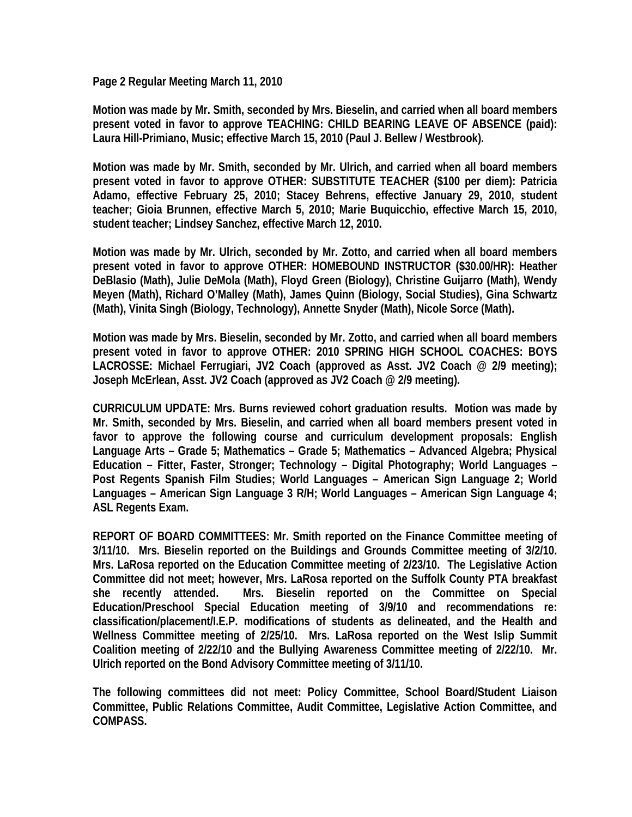**Page 2 Regular Meeting March 11, 2010** 

**Motion was made by Mr. Smith, seconded by Mrs. Bieselin, and carried when all board members present voted in favor to approve TEACHING: CHILD BEARING LEAVE OF ABSENCE (paid): Laura Hill-Primiano, Music; effective March 15, 2010 (Paul J. Bellew / Westbrook).** 

**Motion was made by Mr. Smith, seconded by Mr. Ulrich, and carried when all board members present voted in favor to approve OTHER: SUBSTITUTE TEACHER (\$100 per diem): Patricia Adamo, effective February 25, 2010; Stacey Behrens, effective January 29, 2010, student teacher; Gioia Brunnen, effective March 5, 2010; Marie Buquicchio, effective March 15, 2010, student teacher; Lindsey Sanchez, effective March 12, 2010.** 

**Motion was made by Mr. Ulrich, seconded by Mr. Zotto, and carried when all board members present voted in favor to approve OTHER: HOMEBOUND INSTRUCTOR (\$30.00/HR): Heather DeBlasio (Math), Julie DeMola (Math), Floyd Green (Biology), Christine Guijarro (Math), Wendy Meyen (Math), Richard O'Malley (Math), James Quinn (Biology, Social Studies), Gina Schwartz (Math), Vinita Singh (Biology, Technology), Annette Snyder (Math), Nicole Sorce (Math).** 

**Motion was made by Mrs. Bieselin, seconded by Mr. Zotto, and carried when all board members present voted in favor to approve OTHER: 2010 SPRING HIGH SCHOOL COACHES: BOYS LACROSSE: Michael Ferrugiari, JV2 Coach (approved as Asst. JV2 Coach @ 2/9 meeting); Joseph McErlean, Asst. JV2 Coach (approved as JV2 Coach @ 2/9 meeting).** 

**CURRICULUM UPDATE: Mrs. Burns reviewed cohort graduation results. Motion was made by Mr. Smith, seconded by Mrs. Bieselin, and carried when all board members present voted in favor to approve the following course and curriculum development proposals: English Language Arts – Grade 5; Mathematics – Grade 5; Mathematics – Advanced Algebra; Physical Education – Fitter, Faster, Stronger; Technology – Digital Photography; World Languages – Post Regents Spanish Film Studies; World Languages – American Sign Language 2; World Languages – American Sign Language 3 R/H; World Languages – American Sign Language 4; ASL Regents Exam.** 

**REPORT OF BOARD COMMITTEES: Mr. Smith reported on the Finance Committee meeting of 3/11/10. Mrs. Bieselin reported on the Buildings and Grounds Committee meeting of 3/2/10. Mrs. LaRosa reported on the Education Committee meeting of 2/23/10. The Legislative Action Committee did not meet; however, Mrs. LaRosa reported on the Suffolk County PTA breakfast she recently attended. Mrs. Bieselin reported on the Committee on Special Education/Preschool Special Education meeting of 3/9/10 and recommendations re: classification/placement/I.E.P. modifications of students as delineated, and the Health and Wellness Committee meeting of 2/25/10. Mrs. LaRosa reported on the West Islip Summit Coalition meeting of 2/22/10 and the Bullying Awareness Committee meeting of 2/22/10. Mr. Ulrich reported on the Bond Advisory Committee meeting of 3/11/10.** 

**The following committees did not meet: Policy Committee, School Board/Student Liaison Committee, Public Relations Committee, Audit Committee, Legislative Action Committee, and COMPASS.**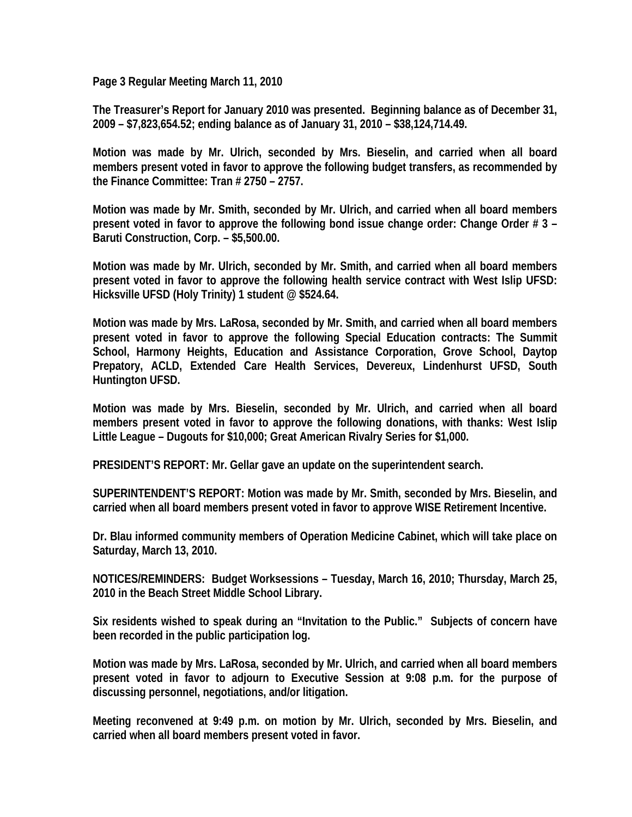**Page 3 Regular Meeting March 11, 2010** 

**The Treasurer's Report for January 2010 was presented. Beginning balance as of December 31, 2009 – \$7,823,654.52; ending balance as of January 31, 2010 – \$38,124,714.49.** 

**Motion was made by Mr. Ulrich, seconded by Mrs. Bieselin, and carried when all board members present voted in favor to approve the following budget transfers, as recommended by the Finance Committee: Tran # 2750 – 2757.** 

**Motion was made by Mr. Smith, seconded by Mr. Ulrich, and carried when all board members present voted in favor to approve the following bond issue change order: Change Order # 3 – Baruti Construction, Corp. – \$5,500.00.** 

**Motion was made by Mr. Ulrich, seconded by Mr. Smith, and carried when all board members present voted in favor to approve the following health service contract with West Islip UFSD: Hicksville UFSD (Holy Trinity) 1 student @ \$524.64.** 

**Motion was made by Mrs. LaRosa, seconded by Mr. Smith, and carried when all board members present voted in favor to approve the following Special Education contracts: The Summit School, Harmony Heights, Education and Assistance Corporation, Grove School, Daytop Prepatory, ACLD, Extended Care Health Services, Devereux, Lindenhurst UFSD, South Huntington UFSD.** 

**Motion was made by Mrs. Bieselin, seconded by Mr. Ulrich, and carried when all board members present voted in favor to approve the following donations, with thanks: West Islip Little League – Dugouts for \$10,000; Great American Rivalry Series for \$1,000.** 

**PRESIDENT'S REPORT: Mr. Gellar gave an update on the superintendent search.** 

**SUPERINTENDENT'S REPORT: Motion was made by Mr. Smith, seconded by Mrs. Bieselin, and carried when all board members present voted in favor to approve WISE Retirement Incentive.** 

**Dr. Blau informed community members of Operation Medicine Cabinet, which will take place on Saturday, March 13, 2010.** 

**NOTICES/REMINDERS: Budget Worksessions – Tuesday, March 16, 2010; Thursday, March 25, 2010 in the Beach Street Middle School Library.** 

**Six residents wished to speak during an "Invitation to the Public." Subjects of concern have been recorded in the public participation log.** 

**Motion was made by Mrs. LaRosa, seconded by Mr. Ulrich, and carried when all board members present voted in favor to adjourn to Executive Session at 9:08 p.m. for the purpose of discussing personnel, negotiations, and/or litigation.** 

**Meeting reconvened at 9:49 p.m. on motion by Mr. Ulrich, seconded by Mrs. Bieselin, and carried when all board members present voted in favor.**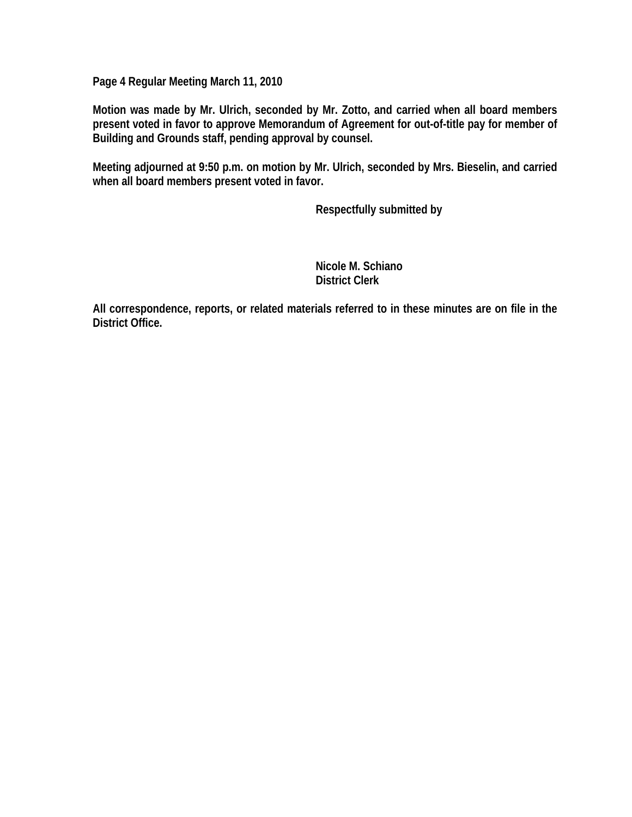**Page 4 Regular Meeting March 11, 2010** 

**Motion was made by Mr. Ulrich, seconded by Mr. Zotto, and carried when all board members present voted in favor to approve Memorandum of Agreement for out-of-title pay for member of Building and Grounds staff, pending approval by counsel.** 

**Meeting adjourned at 9:50 p.m. on motion by Mr. Ulrich, seconded by Mrs. Bieselin, and carried when all board members present voted in favor.** 

 **Respectfully submitted by** 

 **Nicole M. Schiano District Clerk**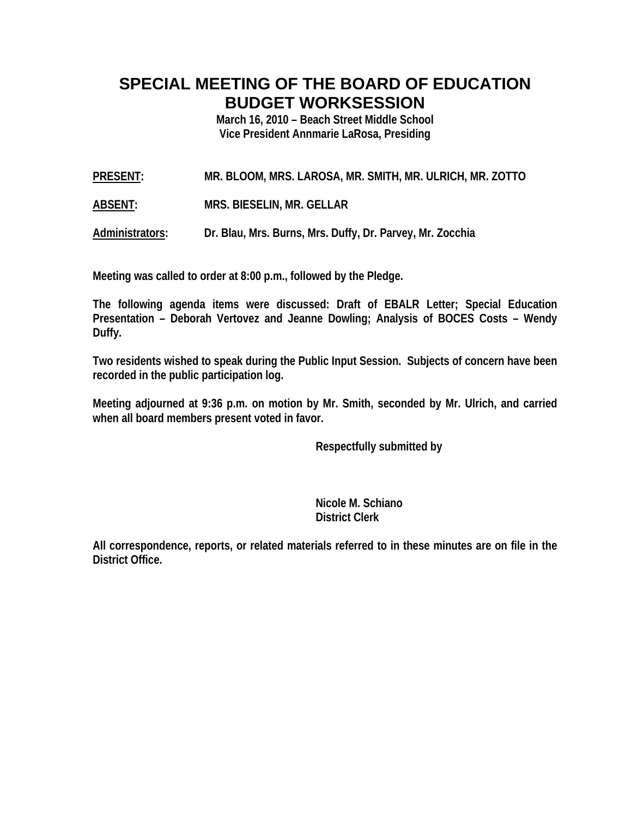## **SPECIAL MEETING OF THE BOARD OF EDUCATION BUDGET WORKSESSION**

**March 16, 2010 – Beach Street Middle School Vice President Annmarie LaRosa, Presiding** 

**PRESENT: MR. BLOOM, MRS. LAROSA, MR. SMITH, MR. ULRICH, MR. ZOTTO** 

**ABSENT: MRS. BIESELIN, MR. GELLAR**

**Administrators: Dr. Blau, Mrs. Burns, Mrs. Duffy, Dr. Parvey, Mr. Zocchia** 

**Meeting was called to order at 8:00 p.m., followed by the Pledge.** 

**The following agenda items were discussed: Draft of EBALR Letter; Special Education Presentation – Deborah Vertovez and Jeanne Dowling; Analysis of BOCES Costs – Wendy Duffy.** 

**Two residents wished to speak during the Public Input Session. Subjects of concern have been recorded in the public participation log.** 

**Meeting adjourned at 9:36 p.m. on motion by Mr. Smith, seconded by Mr. Ulrich, and carried when all board members present voted in favor.** 

 **Respectfully submitted by** 

 **Nicole M. Schiano District Clerk**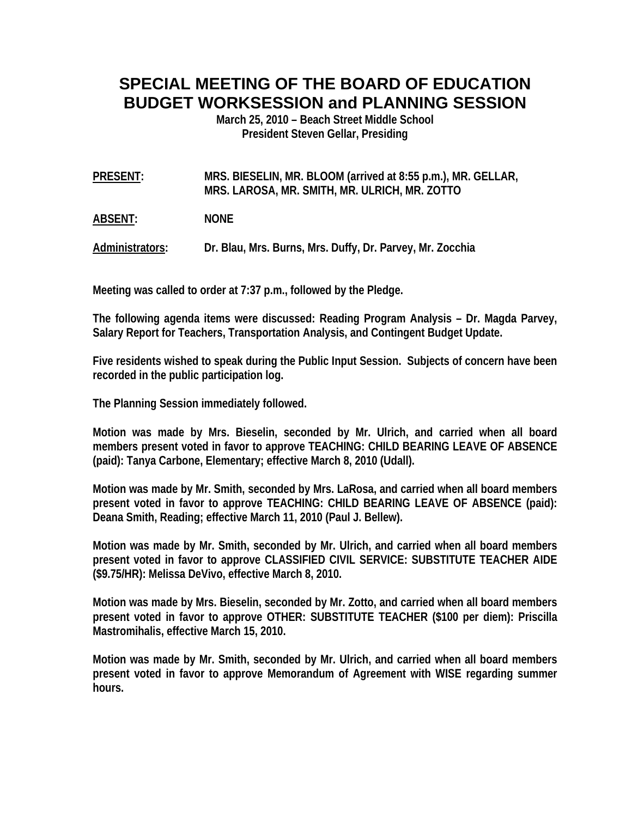## **SPECIAL MEETING OF THE BOARD OF EDUCATION BUDGET WORKSESSION and PLANNING SESSION**

**March 25, 2010 – Beach Street Middle School President Steven Gellar, Presiding** 

**PRESENT: MRS. BIESELIN, MR. BLOOM (arrived at 8:55 p.m.), MR. GELLAR, MRS. LAROSA, MR. SMITH, MR. ULRICH, MR. ZOTTO** 

**ABSENT: NONE** 

**Administrators: Dr. Blau, Mrs. Burns, Mrs. Duffy, Dr. Parvey, Mr. Zocchia** 

**Meeting was called to order at 7:37 p.m., followed by the Pledge.** 

**The following agenda items were discussed: Reading Program Analysis – Dr. Magda Parvey, Salary Report for Teachers, Transportation Analysis, and Contingent Budget Update.** 

**Five residents wished to speak during the Public Input Session. Subjects of concern have been recorded in the public participation log.** 

**The Planning Session immediately followed.** 

**Motion was made by Mrs. Bieselin, seconded by Mr. Ulrich, and carried when all board members present voted in favor to approve TEACHING: CHILD BEARING LEAVE OF ABSENCE (paid): Tanya Carbone, Elementary; effective March 8, 2010 (Udall).** 

**Motion was made by Mr. Smith, seconded by Mrs. LaRosa, and carried when all board members present voted in favor to approve TEACHING: CHILD BEARING LEAVE OF ABSENCE (paid): Deana Smith, Reading; effective March 11, 2010 (Paul J. Bellew).** 

**Motion was made by Mr. Smith, seconded by Mr. Ulrich, and carried when all board members present voted in favor to approve CLASSIFIED CIVIL SERVICE: SUBSTITUTE TEACHER AIDE (\$9.75/HR): Melissa DeVivo, effective March 8, 2010.** 

**Motion was made by Mrs. Bieselin, seconded by Mr. Zotto, and carried when all board members present voted in favor to approve OTHER: SUBSTITUTE TEACHER (\$100 per diem): Priscilla Mastromihalis, effective March 15, 2010.** 

**Motion was made by Mr. Smith, seconded by Mr. Ulrich, and carried when all board members present voted in favor to approve Memorandum of Agreement with WISE regarding summer hours.**